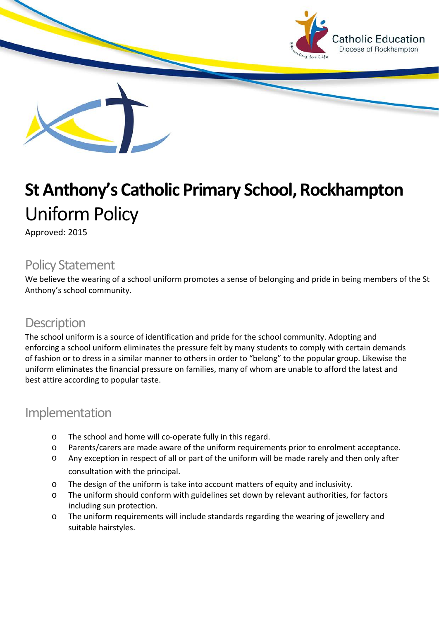

# **St Anthony's Catholic Primary School, Rockhampton** Uniform Policy

Approved: 2015

## Policy Statement

We believe the wearing of a school uniform promotes a sense of belonging and pride in being members of the St Anthony's school community.

### **Description**

The school uniform is a source of identification and pride for the school community. Adopting and enforcing a school uniform eliminates the pressure felt by many students to comply with certain demands of fashion or to dress in a similar manner to others in order to "belong" to the popular group. Likewise the uniform eliminates the financial pressure on families, many of whom are unable to afford the latest and best attire according to popular taste.

#### Implementation

- o The school and home will co-operate fully in this regard.
- o Parents/carers are made aware of the uniform requirements prior to enrolment acceptance.
- o Any exception in respect of all or part of the uniform will be made rarely and then only after consultation with the principal.
- o The design of the uniform is take into account matters of equity and inclusivity.
- o The uniform should conform with guidelines set down by relevant authorities, for factors including sun protection.
- o The uniform requirements will include standards regarding the wearing of jewellery and suitable hairstyles.